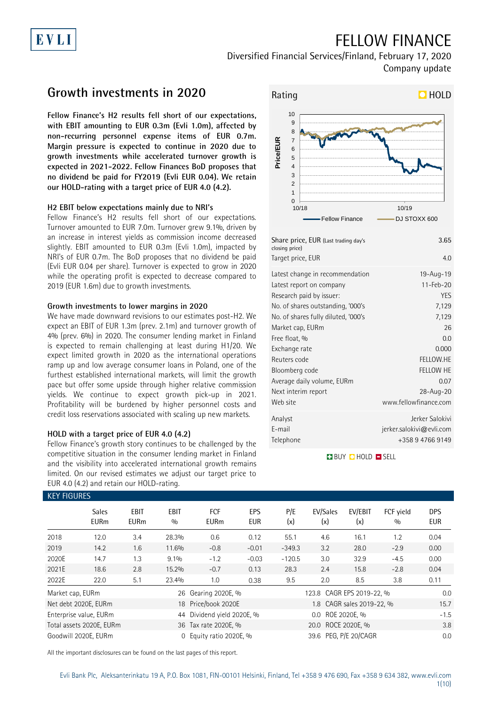## FELLOW FINANCE

Diversified Financial Services/Finland, February 17, 2020 Company update

## **Growth investments in 2020**

EVLI

**Fellow Finance's H2 results fell short of our expectations, with EBIT amounting to EUR 0.3m (Evli 1.0m), affected by non-recurring personnel expense items of EUR 0.7m. Margin pressure is expected to continue in 2020 due to growth investments while accelerated turnover growth is expected in 2021-2022. Fellow Finances BoD proposes that no dividend be paid for FY2019 (Evli EUR 0.04). We retain our HOLD-rating with a target price of EUR 4.0 (4.2).**

### **H2 EBIT below expectations mainly due to NRI's**

Fellow Finance's H2 results fell short of our expectations. Turnover amounted to EUR 7.0m. Turnover grew 9.1%, driven by an increase in interest yields as commission income decreased slightly. EBIT amounted to EUR 0.3m (Evli 1.0m), impacted by NRI's of EUR 0.7m. The BoD proposes that no dividend be paid (Evli EUR 0.04 per share). Turnover is expected to grow in 2020 while the operating profit is expected to decrease compared to 2019 (EUR 1.6m) due to growth investments.

### **Growth investments to lower margins in 2020**

We have made downward revisions to our estimates post-H2. We expect an EBIT of EUR 1.3m (prev. 2.1m) and turnover growth of 4% (prev. 6%) in 2020. The consumer lending market in Finland is expected to remain challenging at least during H1/20. We expect limited growth in 2020 as the international operations ramp up and low average consumer loans in Poland, one of the furthest established international markets, will limit the growth pace but offer some upside through higher relative commission yields. We continue to expect growth pick-up in 2021. Profitability will be burdened by higher personnel costs and credit loss reservations associated with scaling up new markets.

### **HOLD with a target price of EUR 4.0 (4.2)**

Fellow Finance's growth story continues to be challenged by the competitive situation in the consumer lending market in Finland and the visibility into accelerated international growth remains limited. On our revised estimates we adjust our target price to EUR 4.0 (4.2) and retain our HOLD-rating.



| closing price)<br>Target price, EUR | 4.0                      |
|-------------------------------------|--------------------------|
| Latest change in recommendation     | 19-Aug-19                |
| Latest report on company            | $11 - \text{Fe}b - 20$   |
| Research paid by issuer:            | <b>YES</b>               |
| No. of shares outstanding, '000's   | 7,129                    |
| No. of shares fully diluted, '000's | 7,129                    |
| Market cap, EURm                    | 26                       |
| Free float, %                       | 0.0                      |
| Exchange rate                       | 0.000                    |
| Reuters code                        | FELLOW.HE                |
| Bloomberg code                      | FELLOW HE                |
| Average daily volume, EURm          | 0.07                     |
| Next interim report                 | 28-Aug-20                |
| Web site                            | www.fellowfinance.com    |
| Analyst                             | Jerker Salokivi          |
| E-mail                              | jerker.salokivi@evli.com |
| Telephone                           | +358947669149            |

**BUY QHOLD SELL** 

| <b>KEY FIGURES</b> |                                            |                     |                    |                         |                           |                     |                       |                           |                  |                          |
|--------------------|--------------------------------------------|---------------------|--------------------|-------------------------|---------------------------|---------------------|-----------------------|---------------------------|------------------|--------------------------|
|                    | <b>Sales</b><br><b>EURm</b>                | EBIT<br><b>EURm</b> | <b>EBIT</b><br>0/0 | FCF<br><b>EURm</b>      | <b>EPS</b><br><b>EUR</b>  | P/E<br>(x)          | EV/Sales<br>(x)       | EV/EBIT<br>(x)            | FCF yield<br>0/0 | <b>DPS</b><br><b>EUR</b> |
| 2018               | 12.0                                       | 3.4                 | 28.3%              | 0.6                     | 0.12                      | 55.1                | 4.6                   | 16.1                      | 1.2              | 0.04                     |
| 2019               | 14.2                                       | 1.6                 | 11.6%              | $-0.8$                  | $-0.01$                   | $-349.3$            | 3.2                   | 28.0                      | $-2.9$           | 0.00                     |
| 2020E              | 14.7                                       | 1.3                 | 9.1%               | $-1.2$                  | $-0.03$                   | $-120.5$            | 3.0                   | 32.9                      | $-4.5$           | 0.00                     |
| 2021E              | 18.6                                       | 2.8                 | 15.2%              | $-0.7$                  | 0.13                      | 28.3                | 2.4                   | 15.8                      | $-2.8$           | 0.04                     |
| 2022E              | 22.0                                       | 5.1                 | 23.4%              | 1.0                     | 0.38                      | 9.5                 | 2.0                   | 8.5                       | 3.8              | 0.11                     |
|                    | Gearing 2020E, %<br>Market cap, EURm<br>26 |                     |                    |                         | 123.8 CAGR EPS 2019-22, % | 0.0                 |                       |                           |                  |                          |
|                    | Net debt 2020E, EURm                       |                     |                    | 18 Price/book 2020E     |                           |                     |                       | 1.8 CAGR sales 2019-22, % |                  | 15.7                     |
|                    | Enterprise value, EURm                     |                     | 44                 | Dividend yield 2020E, % |                           | ROE 2020E, %<br>0.0 |                       |                           |                  | $-1.5$                   |
|                    | Total assets 2020E, EURm                   |                     |                    | 36 Tax rate 2020E, %    |                           |                     | 20.0 ROCE 2020E, %    |                           |                  | 3.8                      |
|                    | Goodwill 2020E, EURm                       |                     | $\Omega$           | Equity ratio 2020E, %   |                           |                     | 39.6 PEG, P/E 20/CAGR |                           |                  | 0.0                      |

All the important disclosures can be found on the last pages of this report.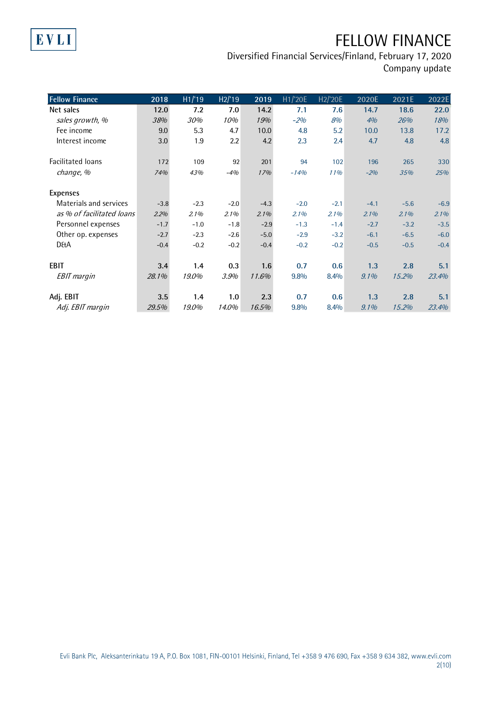## EVLI

## FELLOW FINANCE

Diversified Financial Services/Finland, February 17, 2020 Company update

| <b>Fellow Finance</b>     | $20\overline{18}$ | H1/19  | H2/19  | 2019   | H1/'20E | H2/'20E | 2020E  | 2021E  | 2022E  |
|---------------------------|-------------------|--------|--------|--------|---------|---------|--------|--------|--------|
| Net sales                 | 12.0              | 7.2    | 7.0    | 14.2   | 7.1     | 7.6     | 14.7   | 18.6   | 22.0   |
| sales growth, %           | 38%               | 30%    | 10%    | 19%    | $-2%$   | 8%      | 4%     | 26%    | 18%    |
| Fee income                | 9.0               | 5.3    | 4.7    | 10.0   | 4.8     | 5.2     | 10.0   | 13.8   | 17.2   |
| Interest income           | 3.0               | 1.9    | 2.2    | 4.2    | 2.3     | 2.4     | 4.7    | 4.8    | 4.8    |
| <b>Facilitated loans</b>  | 172               | 109    | 92     | 201    | 94      | 102     | 196    | 265    | 330    |
| change, %                 | 74%               | 43%    | $-4%$  | 17%    | $-14%$  | 11%     | $-2%$  | 35%    | 25%    |
| <b>Expenses</b>           |                   |        |        |        |         |         |        |        |        |
| Materials and services    | $-3.8$            | $-2.3$ | $-2.0$ | $-4.3$ | $-2.0$  | $-2.1$  | $-4.1$ | $-5.6$ | $-6.9$ |
| as % of facilitated loans | 2.2%              | 2.1%   | 2.1%   | 2.1%   | 2.1%    | 2.1%    | 2.1%   | 2.1%   | 2.1%   |
| Personnel expenses        | $-1.7$            | $-1.0$ | $-1.8$ | $-2.9$ | $-1.3$  | $-1.4$  | $-2.7$ | $-3.2$ | $-3.5$ |
| Other op. expenses        | $-2.7$            | $-2.3$ | $-2.6$ | $-5.0$ | $-2.9$  | $-3.2$  | $-6.1$ | $-6.5$ | $-6.0$ |
| <b>D&amp;A</b>            | $-0.4$            | $-0.2$ | $-0.2$ | $-0.4$ | $-0.2$  | $-0.2$  | $-0.5$ | $-0.5$ | $-0.4$ |
| <b>EBIT</b>               | 3.4               | 1.4    | 0.3    | 1.6    | 0.7     | 0.6     | 1.3    | 2.8    | 5.1    |
| <b>EBIT</b> margin        | 28.1%             | 19.0%  | 3.9%   | 11.6%  | 9.8%    | 8.4%    | 9.1%   | 15.2%  | 23.4%  |
| Adj. EBIT                 | 3.5               | 1.4    | 1.0    | 2.3    | 0.7     | 0.6     | 1.3    | 2.8    | 5.1    |
| Adj. EBIT margin          | 29.5%             | 19.0%  | 14.0%  | 16.5%  | 9.8%    | 8.4%    | 9.1%   | 15.2%  | 23.4%  |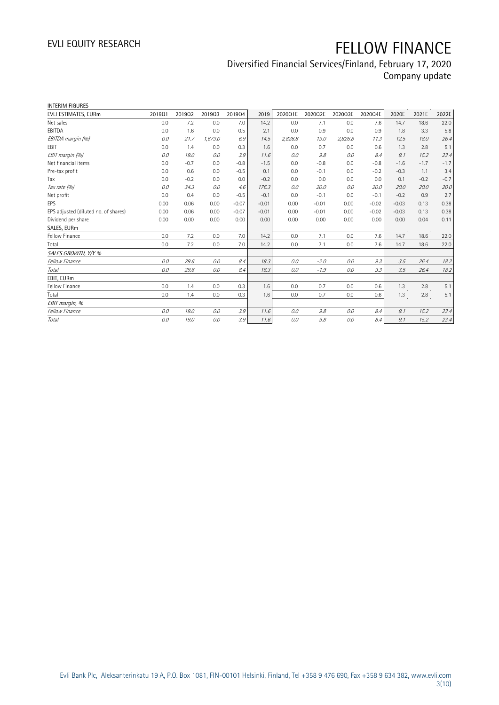### Diversified Financial Services/Finland, February 17, 2020 Company update

| <b>INTERIM FIGURES</b>               |        |        |         |         |         |         |         |         |         |         |        |        |
|--------------------------------------|--------|--------|---------|---------|---------|---------|---------|---------|---------|---------|--------|--------|
| EVLI ESTIMATES, EURm                 | 201901 | 201902 | 201903  | 201904  | 2019    | 2020Q1E | 2020Q2E | 2020Q3E | 2020Q4E | 2020E   | 2021E  | 2022E  |
| Net sales                            | 0.0    | 7.2    | 0.0     | 7.0     | 14.2    | 0.0     | 7.1     | 0.0     | 7.6     | 14.7    | 18.6   | 22.0   |
| EBITDA                               | 0.0    | 1.6    | 0.0     | 0.5     | 2.1     | 0.0     | 0.9     | 0.0     | 0.9     | 1.8     | 3.3    | 5.8    |
| EBITDA margin (%)                    | 0.0    | 21.7   | 1,673.0 | 6.9     | 14.5    | 2,826.8 | 13.0    | 2,826.8 | 11.3    | 12.5    | 18.0   | 26.4   |
| <b>EBIT</b>                          | 0.0    | 1.4    | 0.0     | 0.3     | 1.6     | 0.0     | 0.7     | 0.0     | 0.6     | 1.3     | 2.8    | 5.1    |
| EBIT margin (%)                      | 0.0    | 19.0   | 0.0     | 3.9     | 11.6    | 0.0     | 9.8     | 0.0     | 8.4     | 9.1     | 15.2   | 23.4   |
| Net financial items                  | 0.0    | $-0.7$ | 0.0     | $-0.8$  | $-1.5$  | 0.0     | $-0.8$  | 0.0     | $-0.8$  | $-1.6$  | $-1.7$ | $-1.7$ |
| Pre-tax profit                       | 0.0    | 0.6    | 0.0     | $-0.5$  | 0.1     | 0.0     | $-0.1$  | 0.0     | $-0.2$  | $-0.3$  | 1.1    | 3.4    |
| Tax                                  | 0.0    | $-0.2$ | 0.0     | 0.0     | $-0.2$  | 0.0     | 0.0     | 0.0     | 0.0     | 0.1     | $-0.2$ | $-0.7$ |
| Tax rate (%)                         | 0.0    | 34.3   | 0.0     | 4.6     | 176.3   | 0.0     | 20.0    | 0.0     | 20.0    | 20.0    | 20.0   | 20.0   |
| Net profit                           | 0.0    | 0.4    | 0.0     | $-0.5$  | $-0.1$  | 0.0     | $-0.1$  | 0.0     | $-0.1$  | $-0.2$  | 0.9    | 2.7    |
| <b>EPS</b>                           | 0.00   | 0.06   | 0.00    | $-0.07$ | $-0.01$ | 0.00    | $-0.01$ | 0.00    | $-0.02$ | $-0.03$ | 0.13   | 0.38   |
| EPS adjusted (diluted no. of shares) | 0.00   | 0.06   | 0.00    | $-0.07$ | $-0.01$ | 0.00    | $-0.01$ | 0.00    | $-0.02$ | $-0.03$ | 0.13   | 0.38   |
| Dividend per share                   | 0.00   | 0.00   | 0.00    | 0.00    | 0.00    | 0.00    | 0.00    | 0.00    | 0.00    | 0.00    | 0.04   | 0.11   |
| SALES, EURm                          |        |        |         |         |         |         |         |         |         |         |        |        |
| Fellow Finance                       | 0.0    | 7.2    | 0.0     | 7.0     | 14.2    | 0.0     | 7.1     | 0.0     | 7.6     | 14.7    | 18.6   | 22.0   |
| Total                                | 0.0    | 7.2    | 0.0     | 7.0     | 14.2    | 0.0     | 7.1     | 0.0     | 7.6     | 14.7    | 18.6   | 22.0   |
| SALES GROWTH, Y/Y %                  |        |        |         |         |         |         |         |         |         |         |        |        |
| <b>Fellow Finance</b>                | 0.0    | 29.6   | 0.0     | 8.4     | 18.3    | 0.0     | $-2.0$  | 0.0     | 9.3     | 3.5     | 26.4   | 18.2   |
| Total                                | 0.0    | 29.6   | 0.0     | 8.4     | 18.3    | 0.0     | $-1.9$  | 0.0     | 9.3     | 3.5     | 26.4   | 18.2   |
| EBIT. EURm                           |        |        |         |         |         |         |         |         |         |         |        |        |
| Fellow Finance                       | 0.0    | 1.4    | 0.0     | 0.3     | 1.6     | 0.0     | 0.7     | 0.0     | 0.6     | 1.3     | 2.8    | 5.1    |
| Total                                | 0.0    | 1.4    | 0.0     | 0.3     | 1.6     | 0.0     | 0.7     | 0.0     | 0.6     | 1.3     | 2.8    | 5.1    |
| EBIT margin, %                       |        |        |         |         |         |         |         |         |         |         |        |        |
| Fellow Finance                       | 0.0    | 19.0   | 0.0     | 3.9     | 11.6    | 0.0     | 9.8     | 0.0     | 8.4     | 9.1     | 15.2   | 23.4   |
| Total                                | 0.0    | 19.0   | 0.0     | 3.9     | 11.6    | 0.0     | 9.8     | 0.0     | 8.4     | 9.1     | 15.2   | 23.4   |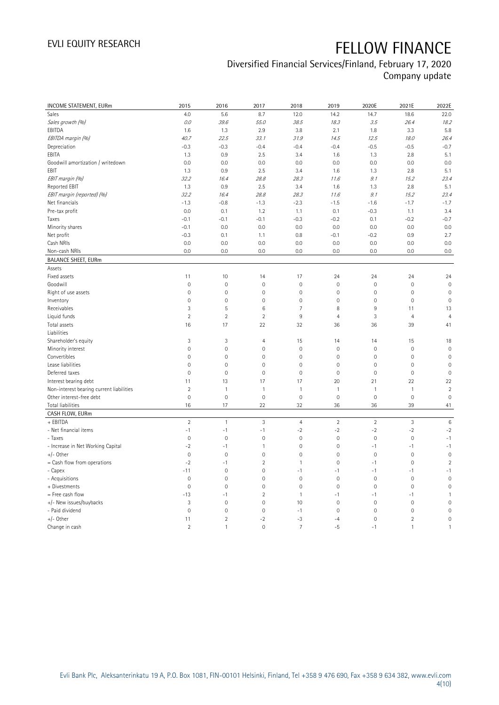## Diversified Financial Services/Finland, February 17, 2020

Company update

| INCOME STATEMENT, EURm                   | 2015                | 2016           | 2017                | 2018           | 2019           | 2020E               | 2021E          | 2022E               |
|------------------------------------------|---------------------|----------------|---------------------|----------------|----------------|---------------------|----------------|---------------------|
| Sales                                    | 4.0                 | 5.6            | 8.7                 | 12.0           | 14.2           | 14.7                | 18.6           | 22.0                |
| Sales growth (%)                         | 0.0                 | 39.6           | 55.0                | 38.5           | 18.3           | 3.5                 | 26.4           | 18.2                |
| EBITDA                                   | 1.6                 | 1.3            | 2.9                 | 3.8            | 2.1            | 1.8                 | 3.3            | 5.8                 |
| EBITDA margin (%)                        | 40.7                | 22.5           | 33.1                | 31.9           | 14.5           | 12.5                | 18.0           | 26.4                |
| Depreciation                             | $-0.3$              | $-0.3$         | $-0.4$              | $-0.4$         | $-0.4$         | $-0.5$              | $-0.5$         | $-0.7$              |
| EBITA                                    | 1.3                 | 0.9            | 2.5                 | 3.4            | 1.6            | 1.3                 | 2.8            | 5.1                 |
| Goodwill amortization / writedown        | 0.0                 | 0.0            | 0.0                 | 0.0            | 0.0            | 0.0                 | 0.0            | 0.0                 |
| EBIT                                     | 1.3                 | 0.9            | 2.5                 | 3.4            | 1.6            | 1.3                 | 2.8            | 5.1                 |
| EBIT margin (%)                          | 32.2                | 16.4           | 28.8                | 28.3           | 11.6           | 9.1                 | 15.2           | 23.4                |
| Reported EBIT                            | 1.3                 | 0.9            | 2.5                 | 3.4            | 1.6            | 1.3                 | 2.8            | 5.1                 |
| EBIT margin (reported) (%)               | 32.2                | 16.4           | 28.8                | 28.3           | 11.6           | 9.1                 | 15.2           | 23.4                |
| Net financials                           | $-1.3$              | $-0.8$         | $-1.3$              | $-2.3$         | $-1.5$         | $-1.6$              | $-1.7$         | $-1.7$              |
| Pre-tax profit                           | 0.0                 | 0.1            | 1.2                 | 1.1            | 0.1            | $-0.3$              | 1.1            | 3.4                 |
| Taxes                                    | $-0.1$              | $-0.1$         | $-0.1$              | $-0.3$         | $-0.2$         | 0.1                 | $-0.2$         | $-0.7$              |
| Minority shares                          | $-0.1$              | 0.0            | 0.0                 | 0.0            | 0.0            | 0.0                 | 0.0            | 0.0                 |
| Net profit                               | $-0.3$              | 0.1            | 1.1                 | 0.8            | $-0.1$         | $-0.2$              | 0.9            | 2.7                 |
| Cash NRIs                                | 0.0                 | 0.0            | 0.0                 | 0.0            | 0.0            | 0.0                 | 0.0            | 0.0                 |
| Non-cash NRIs                            | 0.0                 | 0.0            | 0.0                 | 0.0            | 0.0            | 0.0                 | 0.0            | 0.0                 |
| <b>BALANCE SHEET, EURm</b>               |                     |                |                     |                |                |                     |                |                     |
| Assets                                   |                     |                |                     |                |                |                     |                |                     |
| Fixed assets                             | 11                  | 10             | 14                  | 17             | 24             | 24                  | 24             | 24                  |
| Goodwill                                 | $\mathsf{O}\xspace$ | $\mathbf 0$    | $\mathbf 0$         | $\mathbf 0$    | $\mathbf 0$    | $\mathsf{O}\xspace$ | $\mathbf 0$    | $\mathbf 0$         |
| Right of use assets                      | $\mathbf 0$         | $\mathbb O$    | $\overline{0}$      | $\mathbf 0$    | $\mathbf 0$    | $\mathbf 0$         | $\mathbf 0$    | $\mathbb O$         |
| Inventory                                | $\mathsf{O}\xspace$ | $\mathbf 0$    | $\mathbf 0$         | $\mathbf 0$    | $\mathbf 0$    | $\mathsf{O}\xspace$ | $\mathbf 0$    | $\mathbf 0$         |
| Receivables                              | 3                   | 5              | $\,6$               | $\overline{7}$ | 8              | $9\,$               | 11             | 13                  |
| Liquid funds                             | $\overline{2}$      | $\overline{2}$ | $\overline{2}$      | $\overline{9}$ | $\overline{4}$ | 3                   | $\overline{4}$ | $\overline{4}$      |
| Total assets                             | 16                  | 17             | 22                  | 32             | 36             | 36                  | 39             | 41                  |
| Liabilities                              |                     |                |                     |                |                |                     |                |                     |
| Shareholder's equity                     | 3                   | $\mathbf{3}$   | 4                   | 15             | 14             | 14                  | 15             | 18                  |
| Minority interest                        | $\mathsf{O}\xspace$ | $\mathbf 0$    | $\mathbb O$         | $\mathbf 0$    | $\mathbf 0$    | $\mathsf{O}\xspace$ | $\mathbf 0$    | $\mathbf 0$         |
| Convertibles                             | 0                   | $\mathbf 0$    | $\mathbb O$         | $\mathbf 0$    | $\mathbf 0$    | $\mathsf{O}\xspace$ | $\mathbf 0$    | $\mathsf{O}\xspace$ |
| Lease liabilities                        | $\mathsf{O}\xspace$ | $\mathbf 0$    | $\mathbb O$         | $\mathbf 0$    | $\mathbf 0$    | $\mathsf{O}\xspace$ | $\mathbf 0$    | $\mathbf 0$         |
| Deferred taxes                           | $\mathsf{O}\xspace$ | $\mathbf 0$    | $\mathbf 0$         | $\mathbf{0}$   | $\mathbf 0$    | $\mathsf{O}\xspace$ | $\mathbf 0$    | $\mathbb O$         |
| Interest bearing debt                    | 11                  | 13             | 17                  | 17             | 20             | 21                  | 22             | 22                  |
| Non-interest bearing current liabilities | $\overline{2}$      | $\overline{1}$ | $\mathbf{1}$        | $\mathbf{1}$   | $\mathbf{1}$   | $\mathbf{1}$        | $\mathbf{1}$   | $\sqrt{2}$          |
| Other interest-free debt                 | $\mathsf{O}\xspace$ | $\mathbf 0$    | $\mathsf{O}\xspace$ | $\mathbf 0$    | $\mathbf 0$    | $\mathsf{O}\xspace$ | $\mathbf 0$    | $\mathbf 0$         |
| Total liabilities                        | 16                  | 17             | 22                  | 32             | 36             | 36                  | 39             | 41                  |
| CASH FLOW, EURm                          |                     |                |                     |                |                |                     |                |                     |
| + EBITDA                                 | $\overline{2}$      | $\mathbf{1}$   | $\sqrt{3}$          | $\overline{4}$ | $\overline{2}$ | $\overline{2}$      | $\mathfrak{Z}$ | $\,6$               |
| - Net financial items                    | $-1$                | $-1$           | $-1$                | $-2$           | $-2$           | $-2$                | $-2$           | $-2$                |
| - Taxes                                  | $\mathbf 0$         | $\mathbf{0}$   | $\overline{0}$      | $\mathbf 0$    | $\mathbf 0$    | $\mathbf 0$         | $\mathbf 0$    | $-1$                |
| - Increase in Net Working Capital        | $-2$                | $-1$           | $\mathbf{1}$        | $\mathbf 0$    | $\mathbf 0$    | $-1$                | $-1$           | $-1$                |
| +/- Other                                | $\mathbf 0$         | $\mathbf 0$    | $\mathbf 0$         | $\mathbf 0$    | $\overline{0}$ | $\mathbf 0$         | $\mathbf 0$    | $\mathbb O$         |
| = Cash flow from operations              | $-2$                | $-1$           | $\overline{2}$      | $\mathbf{1}$   | $\mathbf 0$    | $-1$                | $\mathbf 0$    | $\overline{2}$      |
| - Capex                                  | $-11$               | $\mathbf 0$    | $\mathbb O$         | $-1$           | $-1$           | $-1$                | $-1$           | $-1$                |
| - Acquisitions                           | 0                   | $\mathbf 0$    | $\mathbf 0$         | $\mathbf{0}$   | $\mathbf 0$    | $\mathbf 0$         | $\mathbf 0$    | $\mathbf 0$         |
| + Divestments                            | $\mathsf{O}\xspace$ | $\mathbf 0$    | $\mathsf{O}\xspace$ | $\mathbf 0$    | $\mathbf 0$    | $\mathsf{O}\xspace$ | $\mathbf 0$    | $\mathbf 0$         |
| = Free cash flow                         | $-13$               | $-1$           | $\overline{2}$      | $\mathbf{1}$   | $-1$           | $-1$                | $-1$           | $\mathbf{1}$        |
| +/- New issues/buybacks                  | 3                   | $\mathbf 0$    | $\mathbb O$         | 10             | $\mathbf 0$    | $\mathsf{O}\xspace$ | $\mathbf 0$    | $\mathbf 0$         |
| - Paid dividend                          | $\mathsf{O}\xspace$ | $\mathbf 0$    | $\mathbb O$         | $-1$           | $\mathbf 0$    | $\mathsf{O}\xspace$ | $\mathbf 0$    | $\mathbb O$         |
| +/- Other                                | 11                  | $\overline{2}$ | $-2$                | $-3$           | $-4$           | $\overline{0}$      | $\overline{2}$ | $\mathbf 0$         |
| Change in cash                           | $\overline{2}$      | $\mathbf{1}$   | $\overline{0}$      | $\overline{7}$ | $-5$           | $-1$                | $\mathbf{1}$   | $\mathbf{1}$        |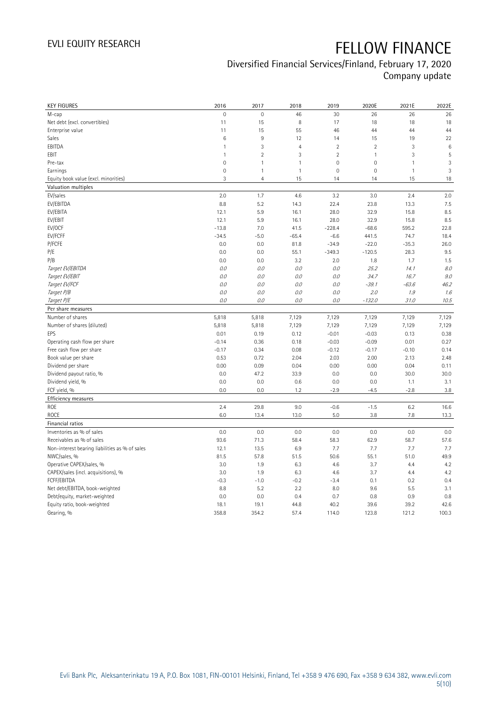### Diversified Financial Services/Finland, February 17, 2020 Company update

| <b>KEY FIGURES</b>                             | 2016                | 2017           | 2018           | 2019           | 2020E          | 2021E        | 2022E |
|------------------------------------------------|---------------------|----------------|----------------|----------------|----------------|--------------|-------|
| M-cap                                          | $\mathsf{O}\xspace$ | $\mathbf 0$    | 46             | 30             | 26             | 26           | 26    |
| Net debt (excl. convertibles)                  | 11                  | 15             | 8              | 17             | 18             | 18           | 18    |
| Enterprise value                               | 11                  | 15             | 55             | 46             | 44             | 44           | 44    |
| Sales                                          | $6\phantom{1}6$     | $9\,$          | 12             | 14             | 15             | 19           | 22    |
| EBITDA                                         | $\mathbf{1}$        | $\sqrt{3}$     | $\overline{4}$ | $\sqrt{2}$     | $\overline{2}$ | 3            | 6     |
| EBIT                                           | 1                   | $\overline{2}$ | 3              | $\overline{2}$ | $\mathbf{1}$   | 3            | 5     |
| Pre-tax                                        | $\mathbf{0}$        | $\mathbf{1}$   | 1              | $\overline{0}$ | $\mathbf 0$    | 1            | 3     |
| Earnings                                       | $\mathsf{O}\xspace$ | $\overline{1}$ | $\mathbf{1}$   | $\mathbf 0$    | $\mathbb O$    | $\mathbf{1}$ | 3     |
| Equity book value (excl. minorities)           | 3                   | $\overline{4}$ | 15             | 14             | 14             | 15           | 18    |
| Valuation multiples                            |                     |                |                |                |                |              |       |
| EV/sales                                       | 2.0                 | 1.7            | 4.6            | 3.2            | 3.0            | 2.4          | 2.0   |
| EV/EBITDA                                      | 8.8                 | 5.2            | 14.3           | 22.4           | 23.8           | 13.3         | 7.5   |
| EV/EBITA                                       | 12.1                | 5.9            | 16.1           | 28.0           | 32.9           | 15.8         | 8.5   |
| EV/EBIT                                        | 12.1                | 5.9            | 16.1           | 28.0           | 32.9           | 15.8         | 8.5   |
| EV/OCF                                         | $-13.8$             | 7.0            | 41.5           | $-228.4$       | $-68.6$        | 595.2        | 22.8  |
| EV/FCFF                                        | $-34.5$             | $-5.0$         | $-65.4$        | $-6.6$         | 441.5          | 74.7         | 18.4  |
| P/FCFE                                         | 0.0                 | 0.0            | 81.8           | $-34.9$        | $-22.0$        | $-35.3$      | 26.0  |
| P/E                                            | 0.0                 | 0.0            | 55.1           | $-349.3$       | $-120.5$       | 28.3         | 9.5   |
| P/B                                            | 0.0                 | 0.0            | 3.2            | 2.0            | 1.8            | 1.7          | 1.5   |
| Target EV/EBITDA                               | 0.0                 | 0.0            | 0.0            | 0.0            | 25.2           | 14.1         | 8.0   |
| Target EV/EBIT                                 | 0.0                 | 0.0            | 0.0            | 0.0            | 34.7           | 16.7         | 9.0   |
|                                                | 0.0                 | 0.0            | 0.0            | 0.0            | $-39.1$        | $-63.6$      | 46.2  |
| Target EV/FCF                                  | 0.0                 | 0.0            | 0.0            |                |                | 1.9          |       |
| Target P/B                                     |                     |                |                | 0.0            | 2.0            |              | 1.6   |
| Target P/E                                     | 0.0                 | 0.0            | 0.0            | 0.0            | $-132.0$       | 31.0         | 10.5  |
| Per share measures                             |                     |                |                |                |                |              |       |
| Number of shares                               | 5,818               | 5,818          | 7,129          | 7,129          | 7,129          | 7,129        | 7,129 |
| Number of shares (diluted)                     | 5,818               | 5,818          | 7,129          | 7,129          | 7,129          | 7,129        | 7,129 |
| EPS                                            | 0.01                | 0.19           | 0.12           | $-0.01$        | $-0.03$        | 0.13         | 0.38  |
| Operating cash flow per share                  | $-0.14$             | 0.36           | 0.18           | $-0.03$        | $-0.09$        | 0.01         | 0.27  |
| Free cash flow per share                       | $-0.17$             | 0.34           | 0.08           | $-0.12$        | $-0.17$        | $-0.10$      | 0.14  |
| Book value per share                           | 0.53                | 0.72           | 2.04           | 2.03           | 2.00           | 2.13         | 2.48  |
| Dividend per share                             | 0.00                | 0.09           | 0.04           | 0.00           | 0.00           | 0.04         | 0.11  |
| Dividend payout ratio, %                       | 0.0                 | 47.2           | 33.9           | 0.0            | 0.0            | 30.0         | 30.0  |
| Dividend yield, %                              | 0.0                 | 0.0            | 0.6            | 0.0            | 0.0            | 1.1          | 3.1   |
| FCF yield, %                                   | 0.0                 | 0.0            | 1.2            | $-2.9$         | $-4.5$         | $-2.8$       | 3.8   |
| Efficiency measures                            |                     |                |                |                |                |              |       |
| ROE                                            | 2.4                 | 29.8           | 9.0            | $-0.6$         | $-1.5$         | 6.2          | 16.6  |
| <b>ROCE</b>                                    | 6.0                 | 13.4           | 13.0           | 5.0            | 3.8            | 7.8          | 13.3  |
| Financial ratios                               |                     |                |                |                |                |              |       |
| Inventories as % of sales                      | 0.0                 | 0.0            | 0.0            | 0.0            | 0.0            | 0.0          | 0.0   |
| Receivables as % of sales                      | 93.6                | 71.3           | 58.4           | 58.3           | 62.9           | 58.7         | 57.6  |
| Non-interest bearing liabilities as % of sales | 12.1                | 13.5           | 6.9            | 7.7            | 7.7            | 7.7          | 7.7   |
| NWC/sales, %                                   | 81.5                | 57.8           | 51.5           | 50.6           | 55.1           | 51.0         | 49.9  |
| Operative CAPEX/sales, %                       | 3.0                 | 1.9            | 6.3            | 4.6            | 3.7            | 4.4          | 4.2   |
| CAPEX/sales (incl. acquisitions), %            | 3.0                 | 1.9            | 6.3            | 4.6            | 3.7            | 4.4          | 4.2   |
| FCFF/EBITDA                                    | $-0.3$              | $-1.0$         | $-0.2$         | $-3.4$         | 0.1            | 0.2          | 0.4   |
| Net debt/EBITDA, book-weighted                 | 8.8                 | 5.2            | 2.2            | 8.0            | 9.6            | 5.5          | 3.1   |
| Debt/equity, market-weighted                   | 0.0                 | 0.0            | 0.4            | 0.7            | 0.8            | 0.9          | 0.8   |
| Equity ratio, book-weighted                    | 18.1                | 19.1           | 44.8           | 40.2           | 39.6           | 39.2         | 42.6  |
| Gearing, %                                     | 358.8               | 354.2          | 57.4           | 114.0          | 123.8          | 121.2        | 100.3 |
|                                                |                     |                |                |                |                |              |       |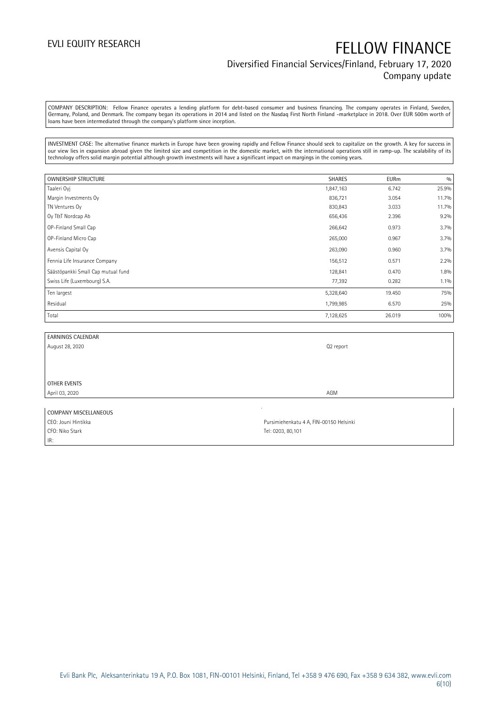## EVLI EQUITY RESEARCH FELLOW FINANCE Diversified Financial Services/Finland, February 17, 2020 Company update

COMPANY DESCRIPTION: Fellow Finance operates a lending platform for debt-based consumer and business financing. The company operates in Finland, Sweden, Germany, Poland, and Denmark. The company began its operations in 2014 and listed on the Nasdaq First North Finland -marketplace in 2018. Over EUR 500m worth of loans have been intermediated through the company's platform since inception.

INVESTMENT CASE: The alternative finance markets in Europe have been growing rapidly and Fellow Finance should seek to capitalize on the growth. A key for success in our view lies in expansion abroad given the limited size and competition in the domestic market, with the international operations still in ramp-up. The scalability of its technology offers solid margin potential although growth investments will have a significant impact on margings in the coming years.

| <b>OWNERSHIP STRUCTURE</b>         | <b>SHARES</b> | <b>EURm</b> | 0/0   |
|------------------------------------|---------------|-------------|-------|
| Taaleri Oyj                        | 1,847,163     | 6.742       | 25.9% |
| Margin Investments Oy              | 836,721       | 3.054       | 11.7% |
| TN Ventures Oy                     | 830,843       | 3.033       | 11.7% |
| Oy T&T Nordcap Ab                  | 656,436       | 2.396       | 9.2%  |
| OP-Finland Small Cap               | 266,642       | 0.973       | 3.7%  |
| OP-Finland Micro Cap               | 265,000       | 0.967       | 3.7%  |
| Avensis Capital Oy                 | 263,090       | 0.960       | 3.7%  |
| Fennia Life Insurance Company      | 156,512       | 0.571       | 2.2%  |
| Säästöpankki Small Cap mutual fund | 128,841       | 0.470       | 1.8%  |
| Swiss Life (Luxembourg) S.A.       | 77,392        | 0.282       | 1.1%  |
| Ten largest                        | 5,328,640     | 19.450      | 75%   |
| Residual                           | 1,799,985     | 6.570       | 25%   |
| Total                              | 7,128,625     | 26.019      | 100%  |

| <b>EARNINGS CALENDAR</b> |           |
|--------------------------|-----------|
| August 28, 2020          | Q2 report |
|                          |           |
|                          |           |
|                          |           |
| OTHER EVENTS             |           |
| April 03, 2020           | AGM       |
|                          |           |

| COMPANY MISCELLANEOUS |                                         |
|-----------------------|-----------------------------------------|
| CEO: Jouni Hintikka   | Pursimiehenkatu 4 A, FIN-00150 Helsinki |
| CFO: Niko Stark       | Tel: 0203, 80.101                       |
| IR:                   |                                         |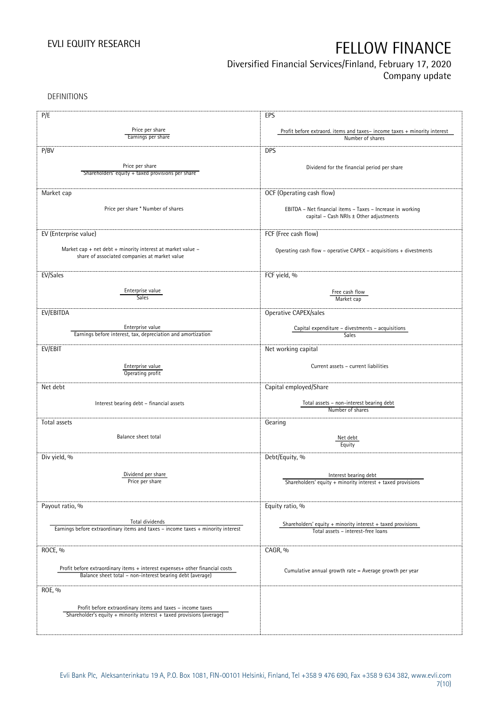## Diversified Financial Services/Finland, February 17, 2020

Company update

DEFINITIONS

| P/E                                                                              | EPS                                                                      |
|----------------------------------------------------------------------------------|--------------------------------------------------------------------------|
|                                                                                  |                                                                          |
| Price per share<br>Earnings per share                                            | Profit before extraord. items and taxes-income taxes + minority interest |
|                                                                                  | Number of shares                                                         |
| P/BV                                                                             | <b>DPS</b>                                                               |
|                                                                                  |                                                                          |
| Price per share                                                                  | Dividend for the financial period per share                              |
| Shareholders' equity + taxed provisions per share                                |                                                                          |
|                                                                                  |                                                                          |
| Market cap                                                                       | OCF (Operating cash flow)                                                |
|                                                                                  |                                                                          |
| Price per share * Number of shares                                               | EBITDA - Net financial items - Taxes - Increase in working               |
|                                                                                  | capital - Cash NRIs ± Other adjustments                                  |
|                                                                                  |                                                                          |
| EV (Enterprise value)                                                            | FCF (Free cash flow)                                                     |
|                                                                                  |                                                                          |
| Market cap + net debt + minority interest at market value -                      | Operating cash flow - operative CAPEX - acquisitions + divestments       |
| share of associated companies at market value                                    |                                                                          |
|                                                                                  |                                                                          |
| EV/Sales                                                                         | FCF yield, %                                                             |
|                                                                                  |                                                                          |
| Enterprise value                                                                 | Free cash flow                                                           |
| Sales                                                                            | Market cap                                                               |
| EV/EBITDA                                                                        |                                                                          |
|                                                                                  | Operative CAPEX/sales                                                    |
| Enterprise value                                                                 | Capital expenditure – divestments – acquisitions                         |
| Earnings before interest, tax, depreciation and amortization                     | Sales                                                                    |
|                                                                                  |                                                                          |
| EV/EBIT                                                                          | Net working capital                                                      |
|                                                                                  |                                                                          |
| Enterprise value                                                                 | Current assets - current liabilities                                     |
| Operating profit                                                                 |                                                                          |
| Net debt                                                                         | Capital employed/Share                                                   |
|                                                                                  |                                                                          |
| Interest bearing debt - financial assets                                         | Total assets - non-interest bearing debt                                 |
|                                                                                  | Number of shares                                                         |
|                                                                                  |                                                                          |
| Total assets                                                                     | Gearing                                                                  |
| Balance sheet total                                                              | Net debt                                                                 |
|                                                                                  | Equity                                                                   |
|                                                                                  |                                                                          |
| Div yield, %                                                                     | Debt/Equity, %                                                           |
|                                                                                  |                                                                          |
| Dividend per share                                                               | Interest bearing debt                                                    |
| Price per share                                                                  | Shareholders' equity + minority interest + taxed provisions              |
|                                                                                  |                                                                          |
|                                                                                  |                                                                          |
| Payout ratio, %                                                                  | Equity ratio, %                                                          |
| Total dividends                                                                  |                                                                          |
| Earnings before extraordinary items and taxes - income taxes + minority interest | Shareholders' equity $+$ minority interest $+$ taxed provisions          |
|                                                                                  | Total assets - interest-free loans                                       |
|                                                                                  |                                                                          |
| ROCE, %                                                                          | CAGR, %                                                                  |
|                                                                                  |                                                                          |
| Profit before extraordinary items + interest expenses+ other financial costs     | Cumulative annual growth rate = Average growth per year                  |
| Balance sheet total - non-interest bearing debt (average)                        |                                                                          |
|                                                                                  |                                                                          |
| ROE, %                                                                           |                                                                          |
|                                                                                  |                                                                          |
| Profit before extraordinary items and taxes - income taxes                       |                                                                          |
| Shareholder's equity + minority interest + taxed provisions (average)            |                                                                          |
|                                                                                  |                                                                          |
|                                                                                  |                                                                          |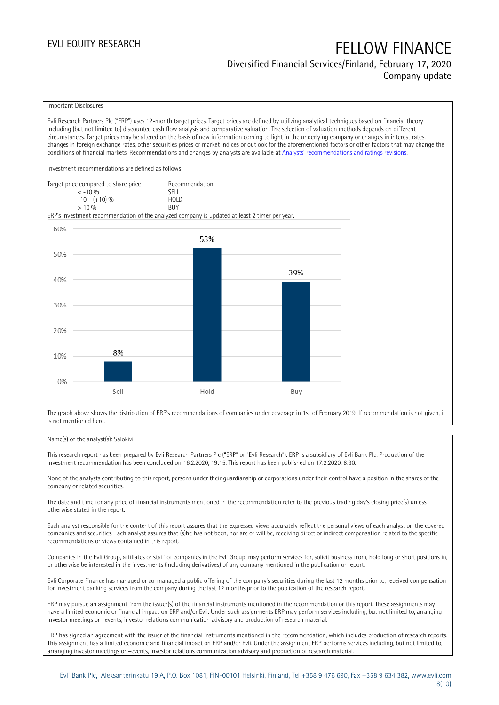### Diversified Financial Services/Finland, February 17, 2020 Company update

### Important Disclosures

Evli Research Partners Plc ("ERP") uses 12-month target prices. Target prices are defined by utilizing analytical techniques based on financial theory including (but not limited to) discounted cash flow analysis and comparative valuation. The selection of valuation methods depends on different circumstances. Target prices may be altered on the basis of new information coming to light in the underlying company or changes in interest rates, changes in foreign exchange rates, other securities prices or market indices or outlook for the aforementioned factors or other factors that may change the conditions of financial markets. Recommendations and changes by analysts are available at [Analysts' recommendations and ratings revisions](https://research.evli.com/JasperAllModels.action?authParam=key;461&authParam=x;G3rNagWrtf7K&authType=3). Investment recommendations are defined as follows: Target price compared to share price Recommendation<br>CELL CALLO 06 < -10 % SELL  $-10 - (+10) \%$  HOL<br>  $> 10 \%$  $> 10\%$ ERP's investment recommendation of the analyzed company is updated at least 2 timer per year. 60% 53% 50% 39% 40% 30% 20% 8% 10%  $0%$ Hold Sell Buy

The graph above shows the distribution of ERP's recommendations of companies under coverage in 1st of February 2019. If recommendation is not given, it is not mentioned here.

### Name(s) of the analyst(s): Salokivi

This research report has been prepared by Evli Research Partners Plc ("ERP" or "Evli Research"). ERP is a subsidiary of Evli Bank Plc. Production of the investment recommendation has been concluded on 16.2.2020, 19:15. This report has been published on 17.2.2020, 8:30.

None of the analysts contributing to this report, persons under their guardianship or corporations under their control have a position in the shares of the company or related securities.

The date and time for any price of financial instruments mentioned in the recommendation refer to the previous trading day's closing price(s) unless otherwise stated in the report.

Each analyst responsible for the content of this report assures that the expressed views accurately reflect the personal views of each analyst on the covered companies and securities. Each analyst assures that (s)he has not been, nor are or will be, receiving direct or indirect compensation related to the specific recommendations or views contained in this report.

Companies in the Evli Group, affiliates or staff of companies in the Evli Group, may perform services for, solicit business from, hold long or short positions in, or otherwise be interested in the investments (including derivatives) of any company mentioned in the publication or report.

Evli Corporate Finance has managed or co-managed a public offering of the company's securities during the last 12 months prior to, received compensation for investment banking services from the company during the last 12 months prior to the publication of the research report.

ERP may pursue an assignment from the issuer(s) of the financial instruments mentioned in the recommendation or this report. These assignments may have a limited economic or financial impact on ERP and/or Evli. Under such assignments ERP may perform services including, but not limited to, arranging investor meetings or –events, investor relations communication advisory and production of research material.

ERP has signed an agreement with the issuer of the financial instruments mentioned in the recommendation, which includes production of research reports. This assignment has a limited economic and financial impact on ERP and/or Evli. Under the assignment ERP performs services including, but not limited to, arranging investor meetings or –events, investor relations communication advisory and production of research material.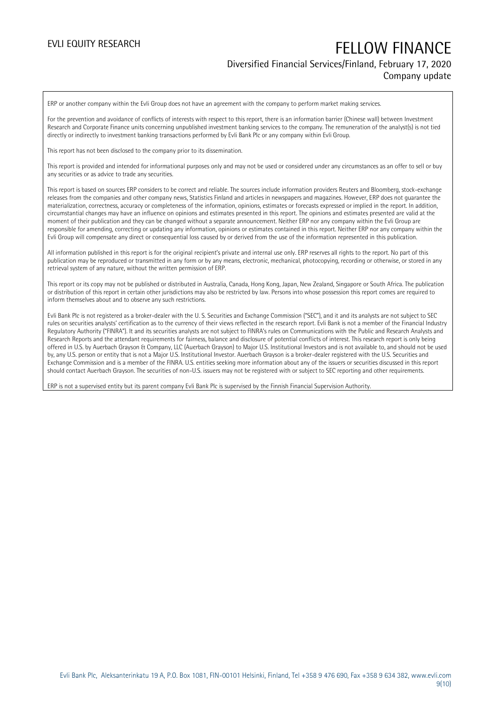## EVLI EQUITY RESEARCH FELLOW FINANCE Diversified Financial Services/Finland, February 17, 2020

## Company update

ERP or another company within the Evli Group does not have an agreement with the company to perform market making services.

For the prevention and avoidance of conflicts of interests with respect to this report, there is an information barrier (Chinese wall) between Investment Research and Corporate Finance units concerning unpublished investment banking services to the company. The remuneration of the analyst(s) is not tied directly or indirectly to investment banking transactions performed by Evli Bank Plc or any company within Evli Group.

This report has not been disclosed to the company prior to its dissemination.

This report is provided and intended for informational purposes only and may not be used or considered under any circumstances as an offer to sell or buy any securities or as advice to trade any securities.

This report is based on sources ERP considers to be correct and reliable. The sources include information providers Reuters and Bloomberg, stock-exchange releases from the companies and other company news, Statistics Finland and articles in newspapers and magazines. However, ERP does not guarantee the materialization, correctness, accuracy or completeness of the information, opinions, estimates or forecasts expressed or implied in the report. In addition, circumstantial changes may have an influence on opinions and estimates presented in this report. The opinions and estimates presented are valid at the moment of their publication and they can be changed without a separate announcement. Neither ERP nor any company within the Evli Group are responsible for amending, correcting or updating any information, opinions or estimates contained in this report. Neither ERP nor any company within the Evli Group will compensate any direct or consequential loss caused by or derived from the use of the information represented in this publication.

All information published in this report is for the original recipient's private and internal use only. ERP reserves all rights to the report. No part of this publication may be reproduced or transmitted in any form or by any means, electronic, mechanical, photocopying, recording or otherwise, or stored in any retrieval system of any nature, without the written permission of ERP.

This report or its copy may not be published or distributed in Australia, Canada, Hong Kong, Japan, New Zealand, Singapore or South Africa. The publication or distribution of this report in certain other jurisdictions may also be restricted by law. Persons into whose possession this report comes are required to inform themselves about and to observe any such restrictions.

Evli Bank Plc is not registered as a broker-dealer with the U. S. Securities and Exchange Commission ("SEC"), and it and its analysts are not subject to SEC rules on securities analysts' certification as to the currency of their views reflected in the research report. Evli Bank is not a member of the Financial Industry Regulatory Authority ("FINRA"). It and its securities analysts are not subject to FINRA's rules on Communications with the Public and Research Analysts and Research Reports and the attendant requirements for fairness, balance and disclosure of potential conflicts of interest. This research report is only being offered in U.S. by Auerbach Grayson & Company, LLC (Auerbach Grayson) to Major U.S. Institutional Investors and is not available to, and should not be used by, any U.S. person or entity that is not a Major U.S. Institutional Investor. Auerbach Grayson is a broker-dealer registered with the U.S. Securities and Exchange Commission and is a member of the FINRA. U.S. entities seeking more information about any of the issuers or securities discussed in this report should contact Auerbach Grayson. The securities of non-U.S. issuers may not be registered with or subject to SEC reporting and other requirements.

ERP is not a supervised entity but its parent company Evli Bank Plc is supervised by the Finnish Financial Supervision Authority.